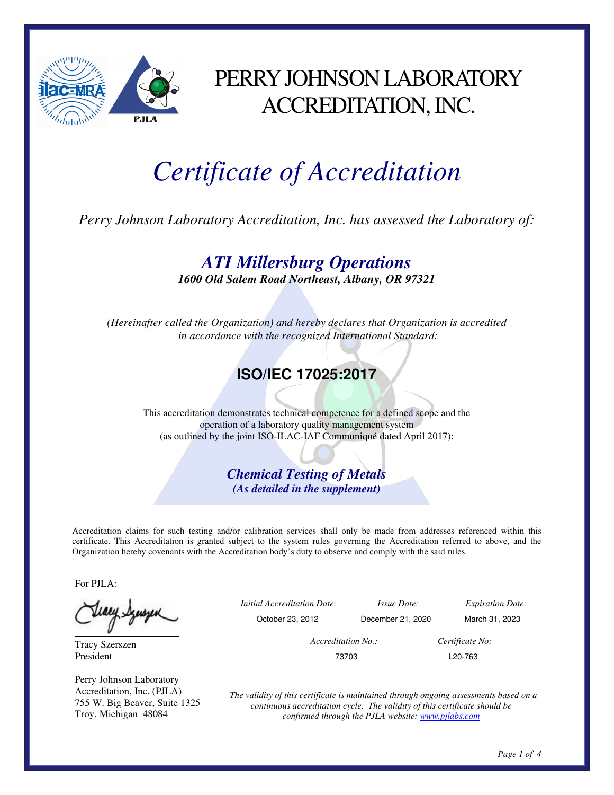

## PERRY JOHNSON LABORATORY ACCREDITATION, INC.

## *Certificate of Accreditation*

*Perry Johnson Laboratory Accreditation, Inc. has assessed the Laboratory of:* 

*ATI Millersburg Operations* 

*1600 Old Salem Road Northeast, Albany, OR 97321* 

*(Hereinafter called the Organization) and hereby declares that Organization is accredited in accordance with the recognized International Standard:* 

## **ISO/IEC 17025:2017**

This accreditation demonstrates technical competence for a defined scope and the operation of a laboratory quality management system (as outlined by the joint ISO-ILAC-IAF Communiqué dated April 2017):

> *Chemical Testing of Metals (As detailed in the supplement)*

Accreditation claims for such testing and/or calibration services shall only be made from addresses referenced within this certificate. This Accreditation is granted subject to the system rules governing the Accreditation referred to above, and the Organization hereby covenants with the Accreditation body's duty to observe and comply with the said rules.

For PJLA:

Tracy Szerszen President

Perry Johnson Laboratory Accreditation, Inc. (PJLA) 755 W. Big Beaver, Suite 1325 Troy, Michigan 48084

|             | <i>Initial Accreditation Date:</i> | <i>Issue Date:</i> | <b>Expiration Date:</b> |  |
|-------------|------------------------------------|--------------------|-------------------------|--|
| $\check{ }$ | October 23, 2012                   | December 21, 2020  | March 31, 2023          |  |
|             | Accreditation No.:                 |                    | Certificate No:         |  |
|             | 73703                              |                    | L <sub>20</sub> -763    |  |

*The validity of this certificate is maintained through ongoing assessments based on a continuous accreditation cycle. The validity of this certificate should be confirmed through the PJLA website: www.pjlabs.com*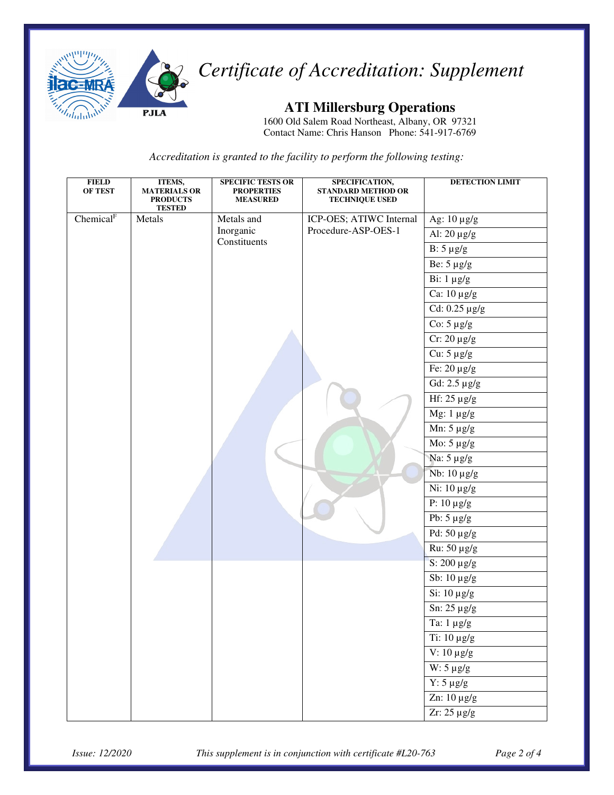

*Certificate of Accreditation: Supplement* 

**ATI Millersburg Operations** 

1600 Old Salem Road Northeast, Albany, OR 97321 Contact Name: Chris Hanson Phone: 541-917-6769

*Accreditation is granted to the facility to perform the following testing:* 

| <b>FIELD</b><br>OF TEST | ITEMS,<br><b>MATERIALS OR</b><br><b>PRODUCTS</b><br><b>TESTED</b> | <b>SPECIFIC TESTS OR</b><br><b>PROPERTIES</b><br><b>MEASURED</b> | SPECIFICATION,<br><b>STANDARD METHOD OR</b><br><b>TECHNIQUE USED</b> | <b>DETECTION LIMIT</b>                   |
|-------------------------|-------------------------------------------------------------------|------------------------------------------------------------------|----------------------------------------------------------------------|------------------------------------------|
| Chemical <sup>F</sup>   | Metals                                                            | Metals and                                                       | ICP-OES; ATIWC Internal                                              | Ag: 10 µg/g                              |
|                         |                                                                   | Inorganic                                                        | Procedure-ASP-OES-1                                                  | Al: $20 \mu g/g$                         |
|                         |                                                                   | Constituents                                                     |                                                                      | $B: 5 \mu g/g$                           |
|                         |                                                                   |                                                                  |                                                                      | Be: $5 \mu g/g$                          |
|                         |                                                                   |                                                                  |                                                                      | Bi: $1 \mu g/g$                          |
|                         |                                                                   |                                                                  |                                                                      | Ca: $10 \mu g/g$                         |
|                         |                                                                   |                                                                  |                                                                      | Cd: $0.25 \mu g/g$                       |
|                         |                                                                   |                                                                  |                                                                      | Co: $5 \mu g/g$                          |
|                         |                                                                   |                                                                  |                                                                      | $Cr: 20 \mu g/g$                         |
|                         |                                                                   |                                                                  |                                                                      | Cu: $5 \mu g/g$                          |
|                         |                                                                   |                                                                  |                                                                      | Fe: $20 \mu g/g$                         |
|                         |                                                                   |                                                                  |                                                                      | Gd: 2.5 µg/g                             |
|                         |                                                                   |                                                                  |                                                                      | Hf: 25 µg/g                              |
|                         |                                                                   |                                                                  |                                                                      | Mg: $1 \mu g/g$                          |
|                         |                                                                   |                                                                  |                                                                      | Mn: $5 \mu g/g$                          |
|                         |                                                                   |                                                                  |                                                                      | $\overline{\text{Mo}}$ : 5 µg/g          |
|                         |                                                                   |                                                                  |                                                                      | Na: $5 \mu g/g$                          |
|                         |                                                                   |                                                                  |                                                                      | Nb: 10 μg/g                              |
|                         |                                                                   |                                                                  |                                                                      | Ni: 10 μg/g                              |
|                         |                                                                   |                                                                  |                                                                      | P: $10 \mu g/g$                          |
|                         |                                                                   |                                                                  |                                                                      | $\overline{\text{Pb:}} 5 \mu \text{g/g}$ |
|                         |                                                                   |                                                                  |                                                                      | $\overline{Pd}$ : 50 µg/g                |
|                         |                                                                   |                                                                  |                                                                      | Ru: 50 μg/g                              |
|                         |                                                                   |                                                                  |                                                                      | S: 200 µg/g                              |
|                         |                                                                   |                                                                  |                                                                      | Sb: $10 \mu g/g$                         |
|                         |                                                                   |                                                                  |                                                                      | Si: 10 μg/g                              |
|                         |                                                                   |                                                                  |                                                                      | Sn: $25 \mu g/g$                         |
|                         |                                                                   |                                                                  |                                                                      | Ta: $1 \ \mu g/g$                        |
|                         |                                                                   |                                                                  |                                                                      | Ti: 10 μg/g                              |
|                         |                                                                   |                                                                  |                                                                      | V: $10 \mu g/g$                          |
|                         |                                                                   |                                                                  |                                                                      | $W: 5 \mu g/g$                           |
|                         |                                                                   |                                                                  |                                                                      | $Y: 5 \mu g/g$                           |
|                         |                                                                   |                                                                  |                                                                      | $\overline{Zn: 10 \mu g/g}$              |
|                         |                                                                   |                                                                  |                                                                      | $2r: 25 \mu g/g$                         |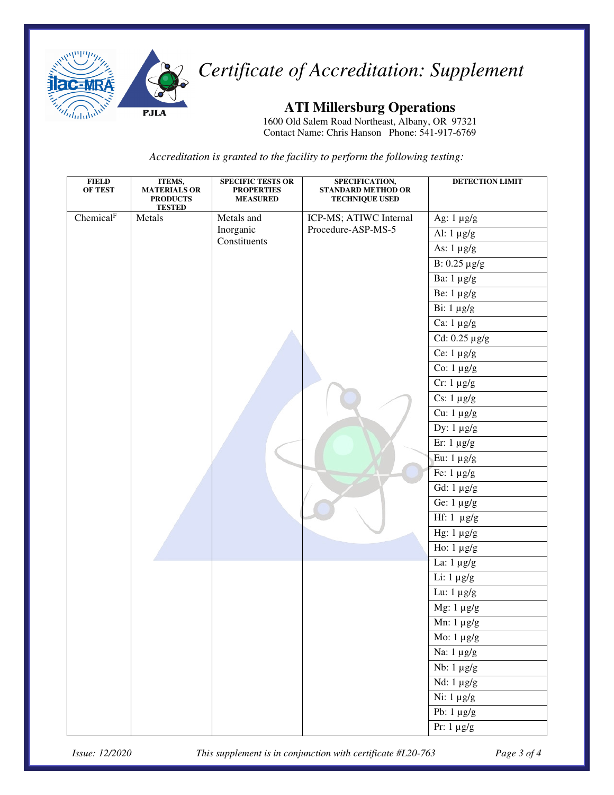

*Certificate of Accreditation: Supplement* 

**ATI Millersburg Operations** 

1600 Old Salem Road Northeast, Albany, OR 97321 Contact Name: Chris Hanson Phone: 541-917-6769

*Accreditation is granted to the facility to perform the following testing:* 

| <b>FIELD</b><br>OF TEST | ITEMS,<br><b>MATERIALS OR</b><br><b>PRODUCTS</b><br><b>TESTED</b> | <b>SPECIFIC TESTS OR</b><br><b>PROPERTIES</b><br><b>MEASURED</b> | SPECIFICATION,<br><b>STANDARD METHOD OR</b><br>TECHNIQUE USED | <b>DETECTION LIMIT</b>       |
|-------------------------|-------------------------------------------------------------------|------------------------------------------------------------------|---------------------------------------------------------------|------------------------------|
| Chemical <sup>F</sup>   | Metals                                                            | Metals and                                                       | ICP-MS; ATIWC Internal                                        | Ag: $1 \mu g/g$              |
|                         |                                                                   | Inorganic                                                        | Procedure-ASP-MS-5                                            | Al: $1 \mu g/g$              |
|                         |                                                                   | Constituents                                                     |                                                               | As: $1 \mu g/g$              |
|                         |                                                                   |                                                                  |                                                               | $\overline{B: 0.25 \mu g/g}$ |
|                         |                                                                   |                                                                  |                                                               | Ba: $1 \mu g/g$              |
|                         |                                                                   |                                                                  |                                                               | Be: $1 \mu g/g$              |
|                         |                                                                   |                                                                  |                                                               | Bi: $1 \mu g/g$              |
|                         |                                                                   |                                                                  |                                                               | Ca: $1 \mu g/g$              |
|                         |                                                                   |                                                                  |                                                               | Cd: $0.25 \mu g/g$           |
|                         |                                                                   |                                                                  |                                                               | Ce: $1 \mu g/g$              |
|                         |                                                                   |                                                                  |                                                               | Co: $1 \mu g/g$              |
|                         |                                                                   |                                                                  |                                                               | $Cr: 1 \mu g/g$              |
|                         |                                                                   |                                                                  |                                                               | Cs: $1 \mu g/g$              |
|                         |                                                                   |                                                                  |                                                               | Cu: $1 \mu g/g$              |
|                         |                                                                   |                                                                  |                                                               | Dy: $1 \mu g/g$              |
|                         |                                                                   |                                                                  |                                                               | $E$ r: 1 µg/g                |
|                         |                                                                   |                                                                  |                                                               | Eu: $1 \mu g/g$              |
|                         |                                                                   |                                                                  |                                                               | Fe: $1 \mu g/g$              |
|                         |                                                                   |                                                                  |                                                               | Gd: $1 \mu g/g$              |
|                         |                                                                   |                                                                  |                                                               | Ge: $1 \mu g/g$              |
|                         |                                                                   |                                                                  |                                                               | Hf: $1 \mu g/g$              |
|                         |                                                                   |                                                                  |                                                               | Hg: $1 \mu g/g$              |
|                         |                                                                   |                                                                  |                                                               | Ho: $1 \mu g/g$              |
|                         |                                                                   |                                                                  |                                                               | La: $1 \mu g/g$              |
|                         |                                                                   |                                                                  |                                                               | Li: $1 \mu g/g$              |
|                         |                                                                   |                                                                  |                                                               | Lu: $1 \mu g/g$              |
|                         |                                                                   |                                                                  |                                                               | Mg: $1 \mu g/g$              |
|                         |                                                                   |                                                                  |                                                               | Mn: $1 \mu g/g$              |
|                         |                                                                   |                                                                  |                                                               | Mo: $1 \mu g/g$              |
|                         |                                                                   |                                                                  |                                                               | Na: 1 µg/g                   |
|                         |                                                                   |                                                                  |                                                               | $Nb: 1 \mu g/g$              |
|                         |                                                                   |                                                                  |                                                               | Nd: $1 \mu g/g$              |
|                         |                                                                   |                                                                  |                                                               | $Ni$ : 1 $\mu$ g/g           |
|                         |                                                                   |                                                                  |                                                               | Pb: $1 \mu g/g$              |
|                         |                                                                   |                                                                  |                                                               | $Pr: 1 \mu g/g$              |

*Issue: 12/2020 This supplement is in conjunction with certificate #L20-763 Page 3 of 4*